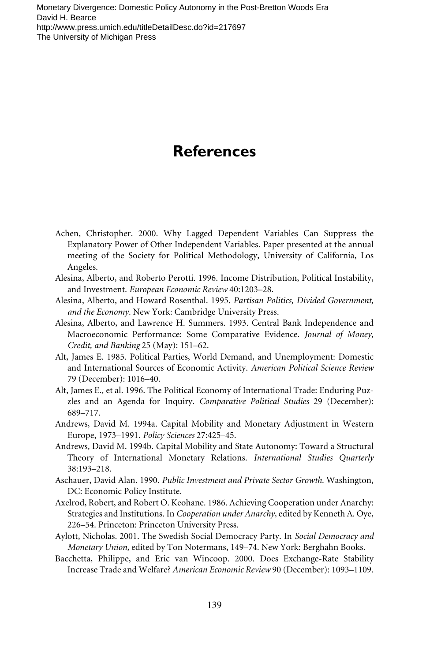- Achen, Christopher. 2000. Why Lagged Dependent Variables Can Suppress the Explanatory Power of Other Independent Variables. Paper presented at the annual meeting of the Society for Political Methodology, University of California, Los Angeles.
- Alesina, Alberto, and Roberto Perotti. 1996. Income Distribution, Political Instability, and Investment. *European Economic Review* 40:1203–28.
- Alesina, Alberto, and Howard Rosenthal. 1995. *Partisan Politics, Divided Government, and the Economy.* New York: Cambridge University Press.
- Alesina, Alberto, and Lawrence H. Summers. 1993. Central Bank Independence and Macroeconomic Performance: Some Comparative Evidence. *Journal of Money, Credit, and Banking* 25 (May): 151–62.
- Alt, James E. 1985. Political Parties, World Demand, and Unemployment: Domestic and International Sources of Economic Activity. *American Political Science Review* 79 (December): 1016–40.
- Alt, James E., et al. 1996. The Political Economy of International Trade: Enduring Puzzles and an Agenda for Inquiry. *Comparative Political Studies* 29 (December): 689–717.
- Andrews, David M. 1994a. Capital Mobility and Monetary Adjustment in Western Europe, 1973–1991. *Policy Sciences* 27:425–45.
- Andrews, David M. 1994b. Capital Mobility and State Autonomy: Toward a Structural Theory of International Monetary Relations. *International Studies Quarterly* 38:193–218.
- Aschauer, David Alan. 1990. *Public Investment and Private Sector Growth.* Washington, DC: Economic Policy Institute.
- Axelrod, Robert, and Robert O. Keohane. 1986. Achieving Cooperation under Anarchy: Strategies and Institutions. In *Cooperation under Anarchy,* edited by Kenneth A. Oye, 226–54. Princeton: Princeton University Press.
- Aylott, Nicholas. 2001. The Swedish Social Democracy Party. In *Social Democracy and Monetary Union,* edited by Ton Notermans, 149–74. New York: Berghahn Books.
- Bacchetta, Philippe, and Eric van Wincoop. 2000. Does Exchange-Rate Stability Increase Trade and Welfare? *American Economic Review* 90 (December): 1093–1109.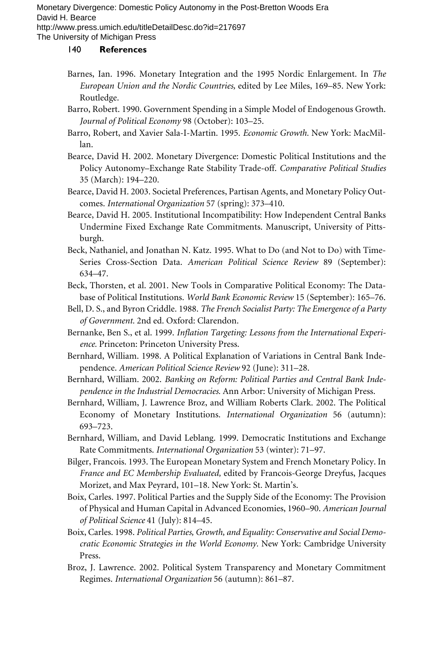The University of Michigan Press

- Barnes, Ian. 1996. Monetary Integration and the 1995 Nordic Enlargement. In *The European Union and the Nordic Countries,* edited by Lee Miles, 169–85. New York: Routledge.
- Barro, Robert. 1990. Government Spending in a Simple Model of Endogenous Growth. *Journal of Political Economy* 98 (October): 103–25.
- Barro, Robert, and Xavier Sala-I-Martin. 1995. *Economic Growth.* New York: MacMillan.
- Bearce, David H. 2002. Monetary Divergence: Domestic Political Institutions and the Policy Autonomy–Exchange Rate Stability Trade-off. *Comparative Political Studies* 35 (March): 194–220.
- Bearce, David H. 2003. Societal Preferences, Partisan Agents, and Monetary Policy Outcomes. *International Organization* 57 (spring): 373–410.
- Bearce, David H. 2005. Institutional Incompatibility: How Independent Central Banks Undermine Fixed Exchange Rate Commitments. Manuscript, University of Pittsburgh.
- Beck, Nathaniel, and Jonathan N. Katz. 1995. What to Do (and Not to Do) with Time-Series Cross-Section Data. *American Political Science Review* 89 (September): 634–47.
- Beck, Thorsten, et al. 2001. New Tools in Comparative Political Economy: The Database of Political Institutions. *World Bank Economic Review* 15 (September): 165–76.
- Bell, D. S., and Byron Criddle. 1988. *The French Socialist Party: The Emergence of a Party of Government.* 2nd ed. Oxford: Clarendon.
- Bernanke, Ben S., et al. 1999. *Inflation Targeting: Lessons from the International Experience.* Princeton: Princeton University Press.
- Bernhard, William. 1998. A Political Explanation of Variations in Central Bank Independence. *American Political Science Review* 92 (June): 311–28.
- Bernhard, William. 2002. *Banking on Reform: Political Parties and Central Bank Independence in the Industrial Democracies.* Ann Arbor: University of Michigan Press.
- Bernhard, William, J. Lawrence Broz, and William Roberts Clark. 2002. The Political Economy of Monetary Institutions. *International Organization* 56 (autumn): 693–723.
- Bernhard, William, and David Leblang. 1999. Democratic Institutions and Exchange Rate Commitments. *International Organization* 53 (winter): 71–97.
- Bilger, Francois. 1993. The European Monetary System and French Monetary Policy. In *France and EC Membership Evaluated,* edited by Francois-George Dreyfus, Jacques Morizet, and Max Peyrard, 101–18. New York: St. Martin's.
- Boix, Carles. 1997. Political Parties and the Supply Side of the Economy: The Provision of Physical and Human Capital in Advanced Economies, 1960–90. *American Journal of Political Science* 41 (July): 814–45.
- Boix, Carles. 1998. *Political Parties, Growth, and Equality: Conservative and Social Democratic Economic Strategies in the World Economy.* New York: Cambridge University Press.
- Broz, J. Lawrence. 2002. Political System Transparency and Monetary Commitment Regimes. *International Organization* 56 (autumn): 861–87.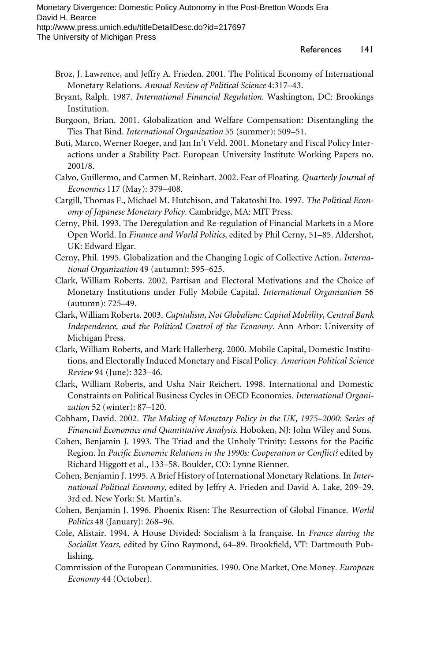- Broz, J. Lawrence, and Jeffry A. Frieden. 2001. The Political Economy of International Monetary Relations. *Annual Review of Political Science* 4:317–43.
- Bryant, Ralph. 1987. *International Financial Regulation.* Washington, DC: Brookings Institution.
- Burgoon, Brian. 2001. Globalization and Welfare Compensation: Disentangling the Ties That Bind. *International Organization* 55 (summer): 509–51.
- Buti, Marco, Werner Roeger, and Jan In't Veld. 2001. Monetary and Fiscal Policy Interactions under a Stability Pact. European University Institute Working Papers no. 2001/8.
- Calvo, Guillermo, and Carmen M. Reinhart. 2002. Fear of Floating. *Quarterly Journal of Economics* 117 (May): 379–408.
- Cargill, Thomas F., Michael M. Hutchison, and Takatoshi Ito. 1997. *The Political Economy of Japanese Monetary Policy.* Cambridge, MA: MIT Press.
- Cerny, Phil. 1993. The Deregulation and Re-regulation of Financial Markets in a More Open World. In *Finance and World Politics,* edited by Phil Cerny, 51–85. Aldershot, UK: Edward Elgar.
- Cerny, Phil. 1995. Globalization and the Changing Logic of Collective Action. *International Organization* 49 (autumn): 595–625.
- Clark, William Roberts. 2002. Partisan and Electoral Motivations and the Choice of Monetary Institutions under Fully Mobile Capital. *International Organization* 56 (autumn): 725–49.
- Clark, William Roberts. 2003. *Capitalism, Not Globalism: Capital Mobility, Central Bank Independence, and the Political Control of the Economy.* Ann Arbor: University of Michigan Press.
- Clark, William Roberts, and Mark Hallerberg. 2000. Mobile Capital, Domestic Institutions, and Electorally Induced Monetary and Fiscal Policy. *American Political Science Review* 94 (June): 323–46.
- Clark, William Roberts, and Usha Nair Reichert. 1998. International and Domestic Constraints on Political Business Cycles in OECD Economies*. International Organization* 52 (winter): 87–120.
- Cobham, David. 2002. *The Making of Monetary Policy in the UK, 1975–2000: Series of Financial Economics and Quantitative Analysis.* Hoboken, NJ: John Wiley and Sons.
- Cohen, Benjamin J. 1993. The Triad and the Unholy Trinity: Lessons for the Pacific Region. In *Pacific Economic Relations in the 1990s: Cooperation or Conflict?* edited by Richard Higgott et al., 133–58. Boulder, CO: Lynne Rienner.
- Cohen, Benjamin J. 1995. A Brief History of International Monetary Relations. In *International Political Economy,* edited by Jeffry A. Frieden and David A. Lake, 209–29. 3rd ed. New York: St. Martin's.
- Cohen, Benjamin J. 1996. Phoenix Risen: The Resurrection of Global Finance. *World Politics* 48 (January): 268–96.
- Cole, Alistair. 1994. A House Divided: Socialism à la française. In *France during the Socialist Years,* edited by Gino Raymond, 64-89. Brookfield, VT: Dartmouth Publishing.
- Commission of the European Communities. 1990. One Market, One Money. *European Economy* 44 (October).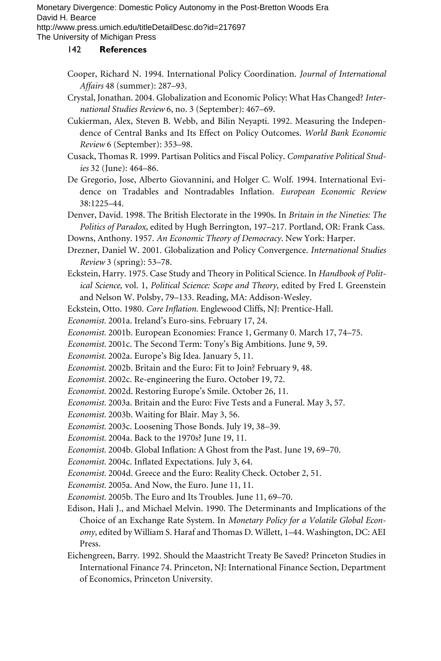The University of Michigan Press

- Cooper, Richard N. 1994. International Policy Coordination. *Journal of International Affairs* 48 (summer): 287–93.
- Crystal, Jonathan. 2004. Globalization and Economic Policy: What Has Changed? *International Studies Review* 6, no. 3 (September): 467–69.
- Cukierman, Alex, Steven B. Webb, and Bilin Neyapti. 1992. Measuring the Independence of Central Banks and Its Effect on Policy Outcomes. *World Bank Economic Review* 6 (September): 353–98.
- Cusack, Thomas R. 1999. Partisan Politics and Fiscal Policy. *Comparative Political Studies* 32 (June): 464–86.
- De Gregorio, Jose, Alberto Giovannini, and Holger C. Wolf. 1994. International Evidence on Tradables and Nontradables Inflation. *European Economic Review* 38:1225–44.
- Denver, David. 1998. The British Electorate in the 1990s. In *Britain in the Nineties: The Politics of Paradox,* edited by Hugh Berrington, 197–217. Portland, OR: Frank Cass.
- Downs, Anthony. 1957. *An Economic Theory of Democracy.* New York: Harper.
- Drezner, Daniel W. 2001. Globalization and Policy Convergence. *International Studies Review* 3 (spring): 53–78.
- Eckstein, Harry. 1975. Case Study and Theory in Political Science. In *Handbook of Political Science,* vol. 1, *Political Science: Scope and Theory,* edited by Fred I. Greenstein and Nelson W. Polsby, 79–133. Reading, MA: Addison-Wesley.
- Eckstein, Otto. 1980. *Core Inflation*. Englewood Cliffs, NJ: Prentice-Hall.
- *Economist.* 2001a. Ireland's Euro-sins. February 17, 24.
- *Economist.* 2001b. European Economies: France 1, Germany 0. March 17, 74–75.
- *Economist.* 2001c. The Second Term: Tony's Big Ambitions. June 9, 59.
- *Economist.* 2002a. Europe's Big Idea. January 5, 11.
- *Economist.* 2002b. Britain and the Euro: Fit to Join? February 9, 48.
- *Economist.* 2002c. Re-engineering the Euro. October 19, 72.
- *Economist.* 2002d. Restoring Europe's Smile. October 26, 11.
- *Economist.* 2003a. Britain and the Euro: Five Tests and a Funeral. May 3, 57.
- *Economist.* 2003b. Waiting for Blair. May 3, 56.
- *Economist.* 2003c. Loosening Those Bonds. July 19, 38–39.
- *Economist.* 2004a. Back to the 1970s? June 19, 11.
- *Economist.* 2004b. Global Inflation: A Ghost from the Past. June 19, 69-70.
- *Economist.* 2004c. Inflated Expectations. July 3, 64.
- *Economist.* 2004d. Greece and the Euro: Reality Check. October 2, 51.
- *Economist.* 2005a. And Now, the Euro. June 11, 11.
- *Economist.* 2005b. The Euro and Its Troubles. June 11, 69–70.
- Edison, Hali J., and Michael Melvin. 1990. The Determinants and Implications of the Choice of an Exchange Rate System. In *Monetary Policy for a Volatile Global Economy,* edited by William S. Haraf and Thomas D. Willett, 1–44. Washington, DC: AEI Press.
- Eichengreen, Barry. 1992. Should the Maastricht Treaty Be Saved? Princeton Studies in International Finance 74. Princeton, NJ: International Finance Section, Department of Economics, Princeton University.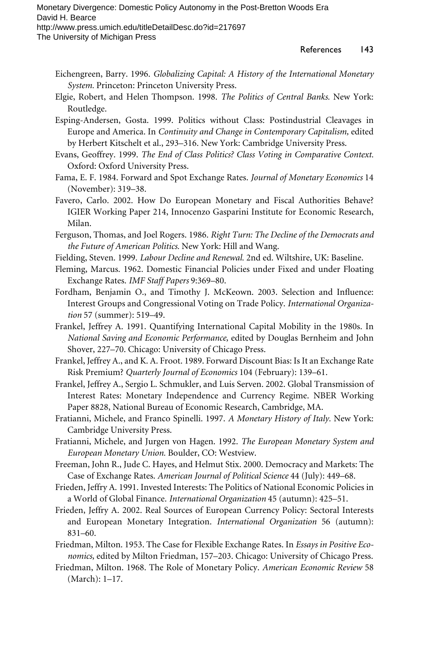- Eichengreen, Barry. 1996. *Globalizing Capital: A History of the International Monetary System.* Princeton: Princeton University Press.
- Elgie, Robert, and Helen Thompson. 1998. *The Politics of Central Banks.* New York: Routledge.
- Esping-Andersen, Gosta. 1999. Politics without Class: Postindustrial Cleavages in Europe and America. In *Continuity and Change in Contemporary Capitalism,* edited by Herbert Kitschelt et al., 293–316. New York: Cambridge University Press.
- Evans, Geoffrey. 1999. *The End of Class Politics? Class Voting in Comparative Context.* Oxford: Oxford University Press.
- Fama, E. F. 1984. Forward and Spot Exchange Rates. *Journal of Monetary Economics* 14 (November): 319–38.
- Favero, Carlo. 2002. How Do European Monetary and Fiscal Authorities Behave? IGIER Working Paper 214, Innocenzo Gasparini Institute for Economic Research, Milan.
- Ferguson, Thomas, and Joel Rogers. 1986. *Right Turn: The Decline of the Democrats and the Future of American Politics.* New York: Hill and Wang.
- Fielding, Steven. 1999. *Labour Decline and Renewal.* 2nd ed. Wiltshire, UK: Baseline.
- Fleming, Marcus. 1962. Domestic Financial Policies under Fixed and under Floating Exchange Rates. *IMF Staff Papers* 9:369–80.
- Fordham, Benjamin O., and Timothy J. McKeown. 2003. Selection and Influence: Interest Groups and Congressional Voting on Trade Policy. *International Organization* 57 (summer): 519–49.
- Frankel, Jeffrey A. 1991. Quantifying International Capital Mobility in the 1980s. In *National Saving and Economic Performance,* edited by Douglas Bernheim and John Shover, 227–70. Chicago: University of Chicago Press.
- Frankel, Jeffrey A., and K. A. Froot. 1989. Forward Discount Bias: Is It an Exchange Rate Risk Premium? *Quarterly Journal of Economics* 104 (February): 139–61.
- Frankel, Jeffrey A., Sergio L. Schmukler, and Luis Serven. 2002. Global Transmission of Interest Rates: Monetary Independence and Currency Regime. NBER Working Paper 8828, National Bureau of Economic Research, Cambridge, MA.
- Fratianni, Michele, and Franco Spinelli. 1997. *A Monetary History of Italy.* New York: Cambridge University Press.
- Fratianni, Michele, and Jurgen von Hagen. 1992. *The European Monetary System and European Monetary Union.* Boulder, CO: Westview.
- Freeman, John R., Jude C. Hayes, and Helmut Stix. 2000. Democracy and Markets: The Case of Exchange Rates. *American Journal of Political Science* 44 (July): 449–68.
- Frieden, Jeffry A. 1991. Invested Interests: The Politics of National Economic Policies in a World of Global Finance. *International Organization* 45 (autumn): 425–51.
- Frieden, Jeffry A. 2002. Real Sources of European Currency Policy: Sectoral Interests and European Monetary Integration. *International Organization* 56 (autumn): 831–60.
- Friedman, Milton. 1953. The Case for Flexible Exchange Rates. In *Essays in Positive Economics,* edited by Milton Friedman, 157–203. Chicago: University of Chicago Press.
- Friedman, Milton. 1968. The Role of Monetary Policy. *American Economic Review* 58 (March): 1–17.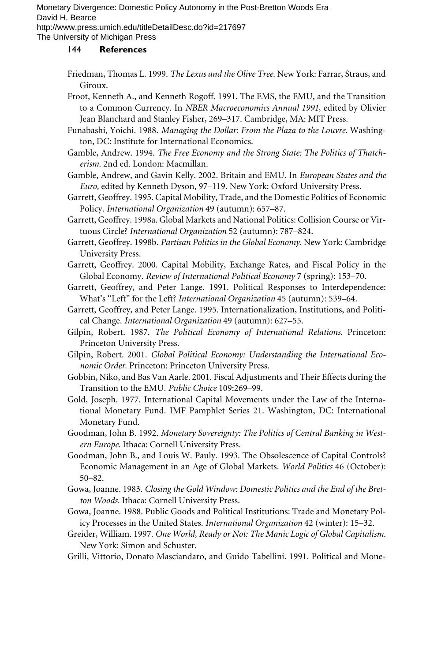The University of Michigan Press

- Friedman, Thomas L. 1999. *The Lexus and the Olive Tree.* New York: Farrar, Straus, and Giroux.
- Froot, Kenneth A., and Kenneth Rogoff. 1991. The EMS, the EMU, and the Transition to a Common Currency. In *NBER Macroeconomics Annual 1991,* edited by Olivier Jean Blanchard and Stanley Fisher, 269–317. Cambridge, MA: MIT Press.
- Funabashi, Yoichi. 1988. *Managing the Dollar: From the Plaza to the Louvre.* Washington, DC: Institute for International Economics.
- Gamble, Andrew. 1994. *The Free Economy and the Strong State: The Politics of Thatcherism.* 2nd ed. London: Macmillan.
- Gamble, Andrew, and Gavin Kelly. 2002. Britain and EMU. In *European States and the Euro,* edited by Kenneth Dyson, 97–119. New York: Oxford University Press.
- Garrett, Geoffrey. 1995. Capital Mobility, Trade, and the Domestic Politics of Economic Policy. *International Organization* 49 (autumn): 657–87.
- Garrett, Geoffrey. 1998a. Global Markets and National Politics: Collision Course or Virtuous Circle? *International Organization* 52 (autumn): 787–824.
- Garrett, Geoffrey. 1998b. *Partisan Politics in the Global Economy.* New York: Cambridge University Press.
- Garrett, Geoffrey. 2000. Capital Mobility, Exchange Rates, and Fiscal Policy in the Global Economy. *Review of International Political Economy* 7 (spring): 153–70.
- Garrett, Geoffrey, and Peter Lange. 1991. Political Responses to Interdependence: What's "Left" for the Left? *International Organization* 45 (autumn): 539–64.
- Garrett, Geoffrey, and Peter Lange. 1995. Internationalization, Institutions, and Political Change. *International Organization* 49 (autumn): 627–55.
- Gilpin, Robert. 1987. *The Political Economy of International Relations.* Princeton: Princeton University Press.
- Gilpin, Robert. 2001. *Global Political Economy: Understanding the International Economic Order.* Princeton: Princeton University Press.
- Gobbin, Niko, and Bas Van Aarle. 2001. Fiscal Adjustments and Their Effects during the Transition to the EMU. *Public Choice* 109:269–99.
- Gold, Joseph. 1977. International Capital Movements under the Law of the International Monetary Fund. IMF Pamphlet Series 21. Washington, DC: International Monetary Fund.
- Goodman, John B. 1992. *Monetary Sovereignty: The Politics of Central Banking in Western Europe.* Ithaca: Cornell University Press.
- Goodman, John B., and Louis W. Pauly. 1993. The Obsolescence of Capital Controls? Economic Management in an Age of Global Markets. *World Politics* 46 (October): 50–82.
- Gowa, Joanne. 1983. *Closing the Gold Window: Domestic Politics and the End of the Bretton Woods.* Ithaca: Cornell University Press.
- Gowa, Joanne. 1988. Public Goods and Political Institutions: Trade and Monetary Policy Processes in the United States. *International Organization* 42 (winter): 15–32.
- Greider, William. 1997. *One World, Ready or Not: The Manic Logic of Global Capitalism.* New York: Simon and Schuster.
- Grilli, Vittorio, Donato Masciandaro, and Guido Tabellini. 1991. Political and Mone-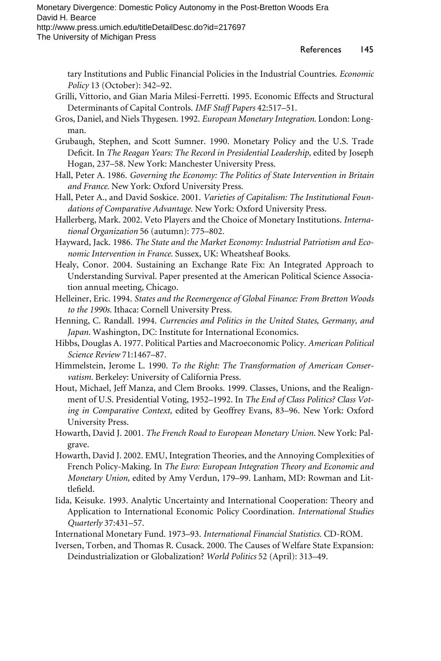The University of Michigan Press

tary Institutions and Public Financial Policies in the Industrial Countries. *Economic Policy* 13 (October): 342–92.

- Grilli, Vittorio, and Gian Maria Milesi-Ferretti. 1995. Economic Effects and Structural Determinants of Capital Controls. *IMF Staff Papers* 42:517–51.
- Gros, Daniel, and Niels Thygesen. 1992. *European Monetary Integration.* London: Longman.
- Grubaugh, Stephen, and Scott Sumner. 1990. Monetary Policy and the U.S. Trade Deficit. In *The Reagan Years: The Record in Presidential Leadership*, edited by Joseph Hogan, 237–58. New York: Manchester University Press.
- Hall, Peter A. 1986. *Governing the Economy: The Politics of State Intervention in Britain and France.* New York: Oxford University Press.
- Hall, Peter A., and David Soskice. 2001. *Varieties of Capitalism: The Institutional Foundations of Comparative Advantage.* New York: Oxford University Press.
- Hallerberg, Mark. 2002. Veto Players and the Choice of Monetary Institutions. *International Organization* 56 (autumn): 775–802.
- Hayward, Jack. 1986. *The State and the Market Economy: Industrial Patriotism and Economic Intervention in France.* Sussex, UK: Wheatsheaf Books.
- Healy, Conor. 2004. Sustaining an Exchange Rate Fix: An Integrated Approach to Understanding Survival. Paper presented at the American Political Science Association annual meeting, Chicago.
- Helleiner, Eric. 1994. *States and the Reemergence of Global Finance: From Bretton Woods to the 1990s.* Ithaca: Cornell University Press.
- Henning, C. Randall. 1994. *Currencies and Politics in the United States, Germany, and Japan.* Washington, DC: Institute for International Economics.
- Hibbs, Douglas A. 1977. Political Parties and Macroeconomic Policy. *American Political Science Review* 71:1467–87.
- Himmelstein, Jerome L. 1990. *To the Right: The Transformation of American Conservatism.* Berkeley: University of California Press.
- Hout, Michael, Jeff Manza, and Clem Brooks. 1999. Classes, Unions, and the Realignment of U.S. Presidential Voting, 1952–1992. In *The End of Class Politics? Class Voting in Comparative Context,* edited by Geoffrey Evans, 83–96. New York: Oxford University Press.
- Howarth, David J. 2001. *The French Road to European Monetary Union.* New York: Palgrave.
- Howarth, David J. 2002. EMU, Integration Theories, and the Annoying Complexities of French Policy-Making. In *The Euro: European Integration Theory and Economic and Monetary Union,* edited by Amy Verdun, 179–99. Lanham, MD: Rowman and Littlefield.
- Iida, Keisuke. 1993. Analytic Uncertainty and International Cooperation: Theory and Application to International Economic Policy Coordination. *International Studies Quarterly* 37:431–57.
- International Monetary Fund. 1973–93. *International Financial Statistics.* CD-ROM.

Iversen, Torben, and Thomas R. Cusack. 2000. The Causes of Welfare State Expansion: Deindustrialization or Globalization? *World Politics* 52 (April): 313–49.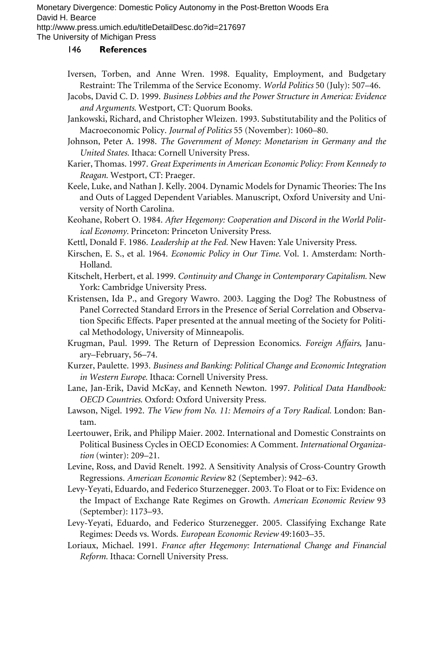The University of Michigan Press

- Iversen, Torben, and Anne Wren. 1998. Equality, Employment, and Budgetary Restraint: The Trilemma of the Service Economy. *World Politics* 50 (July): 507–46.
- Jacobs, David C. D. 1999. *Business Lobbies and the Power Structure in America: Evidence and Arguments.* Westport, CT: Quorum Books.
- Jankowski, Richard, and Christopher Wleizen. 1993. Substitutability and the Politics of Macroeconomic Policy. *Journal of Politics* 55 (November): 1060–80.
- Johnson, Peter A. 1998. *The Government of Money: Monetarism in Germany and the United States.* Ithaca: Cornell University Press.
- Karier, Thomas. 1997. *Great Experiments in American Economic Policy: From Kennedy to Reagan.* Westport, CT: Praeger.
- Keele, Luke, and Nathan J. Kelly. 2004. Dynamic Models for Dynamic Theories: The Ins and Outs of Lagged Dependent Variables. Manuscript, Oxford University and University of North Carolina.
- Keohane, Robert O. 1984. *After Hegemony: Cooperation and Discord in the World Political Economy.* Princeton: Princeton University Press.
- Kettl, Donald F. 1986. *Leadership at the Fed.* New Haven: Yale University Press.
- Kirschen, E. S., et al. 1964. *Economic Policy in Our Time.* Vol. 1. Amsterdam: North-Holland.
- Kitschelt, Herbert, et al. 1999. *Continuity and Change in Contemporary Capitalism.* New York: Cambridge University Press.
- Kristensen, Ida P., and Gregory Wawro. 2003. Lagging the Dog? The Robustness of Panel Corrected Standard Errors in the Presence of Serial Correlation and Observation Specific Effects. Paper presented at the annual meeting of the Society for Political Methodology, University of Minneapolis.
- Krugman, Paul. 1999. The Return of Depression Economics. *Foreign Affairs,* January–February, 56–74.
- Kurzer, Paulette. 1993. *Business and Banking: Political Change and Economic Integration in Western Europe.* Ithaca: Cornell University Press.
- Lane, Jan-Erik, David McKay, and Kenneth Newton. 1997. *Political Data Handbook: OECD Countries.* Oxford: Oxford University Press.
- Lawson, Nigel. 1992. *The View from No. 11: Memoirs of a Tory Radical.* London: Bantam.
- Leertouwer, Erik, and Philipp Maier. 2002. International and Domestic Constraints on Political Business Cycles in OECD Economies: A Comment. *International Organization* (winter): 209–21.
- Levine, Ross, and David Renelt. 1992. A Sensitivity Analysis of Cross-Country Growth Regressions. *American Economic Review* 82 (September): 942–63.
- Levy-Yeyati, Eduardo, and Federico Sturzenegger. 2003. To Float or to Fix: Evidence on the Impact of Exchange Rate Regimes on Growth. *American Economic Review* 93 (September): 1173–93.
- Levy-Yeyati, Eduardo, and Federico Sturzenegger. 2005. Classifying Exchange Rate Regimes: Deeds vs. Words. *European Economic Review* 49:1603–35.
- Loriaux, Michael. 1991. *France after Hegemony: International Change and Financial Reform.* Ithaca: Cornell University Press.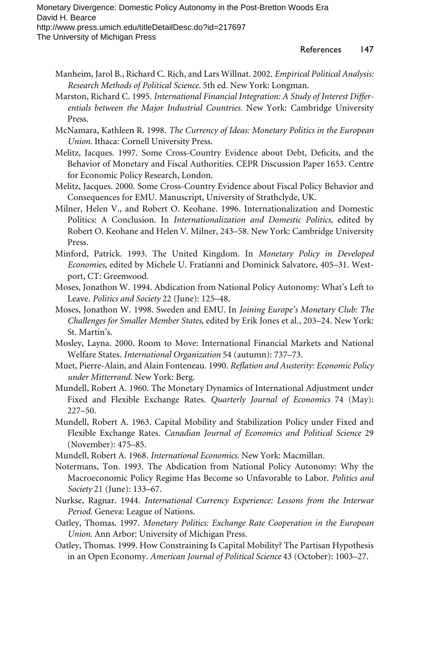- Manheim, Jarol B., Richard C. Rich, and Lars Willnat. 2002. *Empirical Political Analysis: Research Methods of Political Science.* 5th ed. New York: Longman.
- Marston, Richard C. 1995. *International Financial Integration: A Study of Interest Differentials between the Major Industrial Countries.* New York: Cambridge University Press.
- McNamara, Kathleen R. 1998. *The Currency of Ideas: Monetary Politics in the European Union.* Ithaca: Cornell University Press.
- Melitz, Jacques. 1997. Some Cross-Country Evidence about Debt, Deficits, and the Behavior of Monetary and Fiscal Authorities. CEPR Discussion Paper 1653. Centre for Economic Policy Research, London.
- Melitz, Jacques. 2000. Some Cross-Country Evidence about Fiscal Policy Behavior and Consequences for EMU. Manuscript, University of Strathclyde, UK.
- Milner, Helen V., and Robert O. Keohane. 1996. Internationalization and Domestic Politics: A Conclusion. In *Internationalization and Domestic Politics,* edited by Robert O. Keohane and Helen V. Milner, 243–58. New York: Cambridge University Press.
- Minford, Patrick. 1993. The United Kingdom. In *Monetary Policy in Developed Economies,* edited by Michele U. Fratianni and Dominick Salvatore, 405–31. Westport, CT: Greenwood.
- Moses, Jonathon W. 1994. Abdication from National Policy Autonomy: What's Left to Leave. *Politics and Society* 22 (June): 125–48.
- Moses, Jonathon W. 1998. Sweden and EMU. In *Joining Europe's Monetary Club: The Challenges for Smaller Member States,* edited by Erik Jones et al., 203–24. New York: St. Martin's.
- Mosley, Layna. 2000. Room to Move: International Financial Markets and National Welfare States. *International Organization* 54 (autumn): 737–73.
- Muet, Pierre-Alain, and Alain Fonteneau. 1990. *Reflation and Austerity: Economic Policy under Mitterrand.* New York: Berg.
- Mundell, Robert A. 1960. The Monetary Dynamics of International Adjustment under Fixed and Flexible Exchange Rates. *Quarterly Journal of Economics* 74 (May): 227–50.
- Mundell, Robert A. 1963. Capital Mobility and Stabilization Policy under Fixed and Flexible Exchange Rates. *Canadian Journal of Economics and Political Science* 29 (November): 475–85.
- Mundell, Robert A. 1968. *International Economics.* New York: Macmillan.
- Notermans, Ton. 1993. The Abdication from National Policy Autonomy: Why the Macroeconomic Policy Regime Has Become so Unfavorable to Labor. *Politics and Society* 21 (June): 133–67.
- Nurkse, Ragnar. 1944. *International Currency Experience: Lessons from the Interwar Period.* Geneva: League of Nations.
- Oatley, Thomas. 1997. *Monetary Politics: Exchange Rate Cooperation in the European Union.* Ann Arbor: University of Michigan Press.
- Oatley, Thomas. 1999. How Constraining Is Capital Mobility? The Partisan Hypothesis in an Open Economy. *American Journal of Political Science* 43 (October): 1003–27.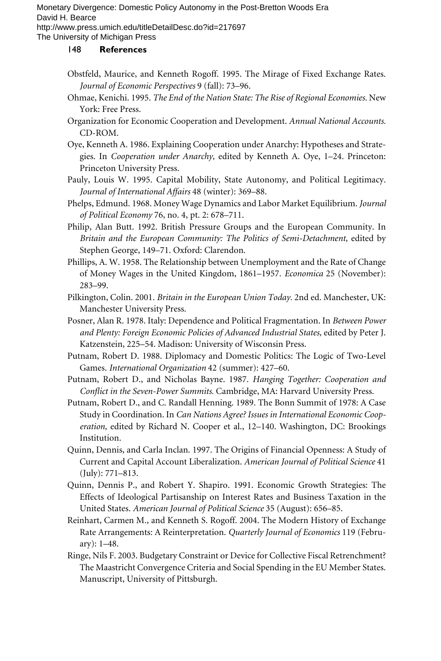The University of Michigan Press

- Obstfeld, Maurice, and Kenneth Rogoff. 1995. The Mirage of Fixed Exchange Rates. *Journal of Economic Perspectives* 9 (fall): 73–96.
- Ohmae, Kenichi. 1995. *The End of the Nation State: The Rise of Regional Economies.* New York: Free Press.
- Organization for Economic Cooperation and Development. *Annual National Accounts.* CD-ROM.
- Oye, Kenneth A. 1986. Explaining Cooperation under Anarchy: Hypotheses and Strategies. In *Cooperation under Anarchy,* edited by Kenneth A. Oye, 1–24. Princeton: Princeton University Press.
- Pauly, Louis W. 1995. Capital Mobility, State Autonomy, and Political Legitimacy. *Journal of International Affairs* 48 (winter): 369–88.
- Phelps, Edmund. 1968. Money Wage Dynamics and Labor Market Equilibrium. *Journal of Political Economy* 76, no. 4, pt. 2: 678–711.
- Philip, Alan Butt. 1992. British Pressure Groups and the European Community. In *Britain and the European Community: The Politics of Semi-Detachment,* edited by Stephen George, 149–71. Oxford: Clarendon.
- Phillips, A. W. 1958. The Relationship between Unemployment and the Rate of Change of Money Wages in the United Kingdom, 1861–1957. *Economica* 25 (November): 283–99.
- Pilkington, Colin. 2001. *Britain in the European Union Today.* 2nd ed. Manchester, UK: Manchester University Press.
- Posner, Alan R. 1978. Italy: Dependence and Political Fragmentation. In *Between Power and Plenty: Foreign Economic Policies of Advanced Industrial States,* edited by Peter J. Katzenstein, 225–54. Madison: University of Wisconsin Press.
- Putnam, Robert D. 1988. Diplomacy and Domestic Politics: The Logic of Two-Level Games. *International Organization* 42 (summer): 427–60.
- Putnam, Robert D., and Nicholas Bayne. 1987. *Hanging Together: Cooperation and Conflict in the Seven-Power Summits. Cambridge, MA: Harvard University Press.*
- Putnam, Robert D., and C. Randall Henning. 1989. The Bonn Summit of 1978: A Case Study in Coordination. In *Can Nations Agree? Issues in International Economic Cooperation,* edited by Richard N. Cooper et al., 12–140. Washington, DC: Brookings Institution.
- Quinn, Dennis, and Carla Inclan. 1997. The Origins of Financial Openness: A Study of Current and Capital Account Liberalization. *American Journal of Political Science* 41 (July): 771–813.
- Quinn, Dennis P., and Robert Y. Shapiro. 1991. Economic Growth Strategies: The Effects of Ideological Partisanship on Interest Rates and Business Taxation in the United States. *American Journal of Political Science* 35 (August): 656–85.
- Reinhart, Carmen M., and Kenneth S. Rogoff. 2004. The Modern History of Exchange Rate Arrangements: A Reinterpretation. *Quarterly Journal of Economics* 119 (February): 1–48.
- Ringe, Nils F. 2003. Budgetary Constraint or Device for Collective Fiscal Retrenchment? The Maastricht Convergence Criteria and Social Spending in the EU Member States. Manuscript, University of Pittsburgh.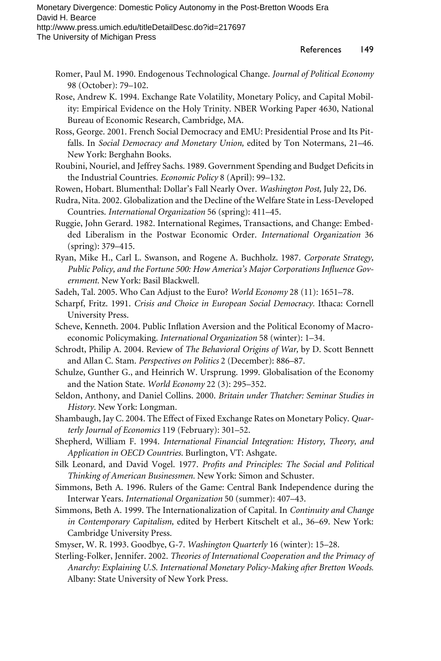- Romer, Paul M. 1990. Endogenous Technological Change. *Journal of Political Economy* 98 (October): 79–102.
- Rose, Andrew K. 1994. Exchange Rate Volatility, Monetary Policy, and Capital Mobility: Empirical Evidence on the Holy Trinity. NBER Working Paper 4630, National Bureau of Economic Research, Cambridge, MA.
- Ross, George. 2001. French Social Democracy and EMU: Presidential Prose and Its Pitfalls. In *Social Democracy and Monetary Union,* edited by Ton Notermans, 21–46. New York: Berghahn Books.
- Roubini, Nouriel, and Jeffrey Sachs. 1989. Government Spending and Budget Deficits in the Industrial Countries. *Economic Policy* 8 (April): 99–132.
- Rowen, Hobart. Blumenthal: Dollar's Fall Nearly Over. *Washington Post,* July 22, D6.
- Rudra, Nita. 2002. Globalization and the Decline of the Welfare State in Less-Developed Countries. *International Organization* 56 (spring): 411–45.
- Ruggie, John Gerard. 1982. International Regimes, Transactions, and Change: Embedded Liberalism in the Postwar Economic Order. *International Organization* 36 (spring): 379–415.
- Ryan, Mike H., Carl L. Swanson, and Rogene A. Buchholz. 1987. *Corporate Strategy,* Public Policy, and the Fortune 500: How America's Major Corporations Influence Gov*ernment.* New York: Basil Blackwell.
- Sadeh, Tal. 2005. Who Can Adjust to the Euro? *World Economy* 28 (11): 1651–78.
- Scharpf, Fritz. 1991. *Crisis and Choice in European Social Democracy.* Ithaca: Cornell University Press.
- Scheve, Kenneth. 2004. Public Inflation Aversion and the Political Economy of Macroeconomic Policymaking. *International Organization* 58 (winter): 1–34.
- Schrodt, Philip A. 2004. Review of *The Behavioral Origins of War,* by D. Scott Bennett and Allan C. Stam. *Perspectives on Politics* 2 (December): 886–87.
- Schulze, Gunther G., and Heinrich W. Ursprung. 1999. Globalisation of the Economy and the Nation State. *World Economy* 22 (3): 295–352.
- Seldon, Anthony, and Daniel Collins. 2000. *Britain under Thatcher: Seminar Studies in History.* New York: Longman.
- Shambaugh, Jay C. 2004. The Effect of Fixed Exchange Rates on Monetary Policy. *Quarterly Journal of Economics* 119 (February): 301–52.
- Shepherd, William F. 1994. *International Financial Integration: History, Theory, and Application in OECD Countries.* Burlington, VT: Ashgate.
- Silk Leonard, and David Vogel. 1977. Profits and Principles: The Social and Political *Thinking of American Businessmen.* New York: Simon and Schuster.
- Simmons, Beth A. 1996. Rulers of the Game: Central Bank Independence during the Interwar Years. *International Organization* 50 (summer): 407–43.
- Simmons, Beth A. 1999. The Internationalization of Capital. In *Continuity and Change in Contemporary Capitalism,* edited by Herbert Kitschelt et al., 36–69. New York: Cambridge University Press.
- Smyser, W. R. 1993. Goodbye, G-7. *Washington Quarterly* 16 (winter): 15–28.
- Sterling-Folker, Jennifer. 2002. *Theories of International Cooperation and the Primacy of Anarchy: Explaining U.S. International Monetary Policy-Making after Bretton Woods.* Albany: State University of New York Press.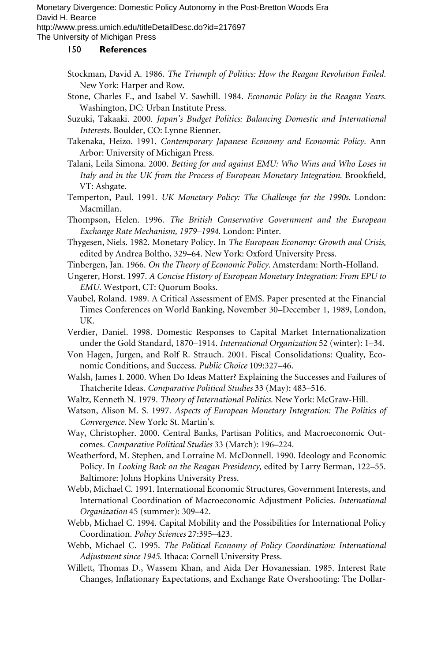The University of Michigan Press

- Stockman, David A. 1986. *The Triumph of Politics: How the Reagan Revolution Failed.* New York: Harper and Row.
- Stone, Charles F., and Isabel V. Sawhill. 1984. *Economic Policy in the Reagan Years.* Washington, DC: Urban Institute Press.
- Suzuki, Takaaki. 2000. *Japan's Budget Politics: Balancing Domestic and International Interests.* Boulder, CO: Lynne Rienner.
- Takenaka, Heizo. 1991. *Contemporary Japanese Economy and Economic Policy.* Ann Arbor: University of Michigan Press.
- Talani, Leila Simona. 2000. *Betting for and against EMU: Who Wins and Who Loses in* Italy and in the UK from the Process of European Monetary Integration. Brookfield, VT: Ashgate.
- Temperton, Paul. 1991. *UK Monetary Policy: The Challenge for the 1990s.* London: Macmillan.
- Thompson, Helen. 1996. *The British Conservative Government and the European Exchange Rate Mechanism, 1979–1994.* London: Pinter.
- Thygesen, Niels. 1982. Monetary Policy. In *The European Economy: Growth and Crisis,* edited by Andrea Boltho, 329–64. New York: Oxford University Press.
- Tinbergen, Jan. 1966. *On the Theory of Economic Policy.* Amsterdam: North-Holland.
- Ungerer, Horst. 1997. *A Concise History of European Monetary Integration: From EPU to EMU.* Westport, CT: Quorum Books.
- Vaubel, Roland. 1989. A Critical Assessment of EMS. Paper presented at the Financial Times Conferences on World Banking, November 30–December 1, 1989, London, UK.
- Verdier, Daniel. 1998. Domestic Responses to Capital Market Internationalization under the Gold Standard, 1870–1914. *International Organization* 52 (winter): 1–34.
- Von Hagen, Jurgen, and Rolf R. Strauch. 2001. Fiscal Consolidations: Quality, Economic Conditions, and Success. *Public Choice* 109:327–46.
- Walsh, James I. 2000. When Do Ideas Matter? Explaining the Successes and Failures of Thatcherite Ideas. *Comparative Political Studies* 33 (May): 483–516.
- Waltz, Kenneth N. 1979. *Theory of International Politics.* New York: McGraw-Hill.
- Watson, Alison M. S. 1997. *Aspects of European Monetary Integration: The Politics of Convergence.* New York: St. Martin's.
- Way, Christopher. 2000. Central Banks, Partisan Politics, and Macroeconomic Outcomes. *Comparative Political Studies* 33 (March): 196–224.
- Weatherford, M. Stephen, and Lorraine M. McDonnell. 1990. Ideology and Economic Policy. In *Looking Back on the Reagan Presidency,* edited by Larry Berman, 122–55. Baltimore: Johns Hopkins University Press.
- Webb, Michael C. 1991. International Economic Structures, Government Interests, and International Coordination of Macroeconomic Adjustment Policies. *International Organization* 45 (summer): 309–42.
- Webb, Michael C. 1994. Capital Mobility and the Possibilities for International Policy Coordination. *Policy Sciences* 27:395–423.
- Webb, Michael C. 1995. *The Political Economy of Policy Coordination: International Adjustment since 1945.* Ithaca: Cornell University Press.
- Willett, Thomas D., Wassem Khan, and Aida Der Hovanessian. 1985. Interest Rate Changes, Inflationary Expectations, and Exchange Rate Overshooting: The Dollar-